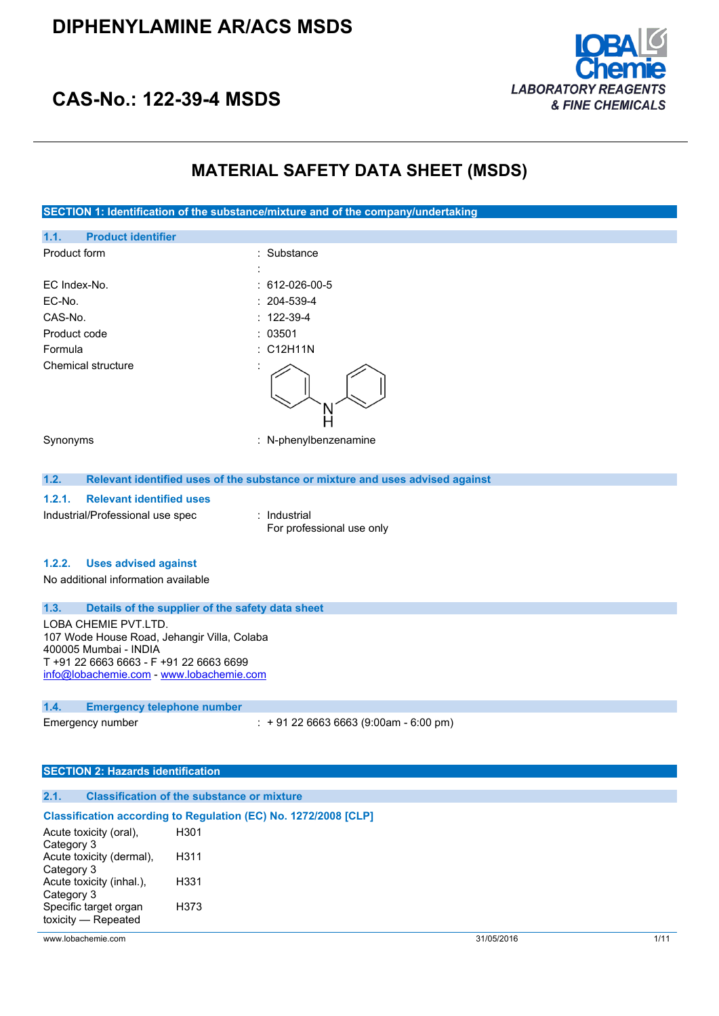

## **CAS-No.: 122-39-4 MSDS**

## **MATERIAL SAFETY DATA SHEET (MSDS)**

| SECTION 1: Identification of the substance/mixture and of the company/undertaking |                                                                               |  |
|-----------------------------------------------------------------------------------|-------------------------------------------------------------------------------|--|
| <b>Product identifier</b><br>1.1.                                                 |                                                                               |  |
| Product form                                                                      | Substance                                                                     |  |
|                                                                                   |                                                                               |  |
| EC Index-No.                                                                      | 612-026-00-5                                                                  |  |
| EC-No.                                                                            | 204-539-4                                                                     |  |
| CAS-No.                                                                           | $: 122 - 39 - 4$                                                              |  |
| Product code                                                                      | : 03501                                                                       |  |
| Formula                                                                           | : C12H11N                                                                     |  |
| <b>Chemical structure</b>                                                         |                                                                               |  |
| Synonyms                                                                          | : N-phenylbenzenamine                                                         |  |
| 1.2.                                                                              | Relevant identified uses of the substance or mixture and uses advised against |  |
| 1.2.1.<br><b>Relevant identified uses</b>                                         |                                                                               |  |
| Industrial/Professional use spec                                                  | : Industrial<br>For professional use only                                     |  |
| 1.2.2.<br><b>Uses advised against</b>                                             |                                                                               |  |
| No additional information available                                               |                                                                               |  |
| 1.3.<br>Details of the supplier of the safety data sheet                          |                                                                               |  |
| LOBA CHEMIE PVT.LTD.                                                              |                                                                               |  |
| 107 Wode House Road, Jehangir Villa, Colaba                                       |                                                                               |  |
| 400005 Mumbai - INDIA<br>T +91 22 6663 6663 - F +91 22 6663 6699                  |                                                                               |  |
| info@lobachemie.com - www.lobachemie.com                                          |                                                                               |  |
|                                                                                   |                                                                               |  |
| 1.4.<br><b>Emergency telephone number</b>                                         |                                                                               |  |
| Emergency number                                                                  | $: +912266636663(9:00am - 6:00 pm)$                                           |  |
|                                                                                   |                                                                               |  |
| <b>SECTION 2: Hazards identification</b>                                          |                                                                               |  |
|                                                                                   |                                                                               |  |
| <b>Classification of the substance or mixture</b><br>2.1.                         |                                                                               |  |

#### **Classification according to Regulation (EC) No. 1272/2008 [CLP]**

| Acute toxicity (oral),   | H301 |
|--------------------------|------|
| Category 3               |      |
| Acute toxicity (dermal), | H311 |
| Category 3               |      |
| Acute toxicity (inhal.), | H331 |
| Category 3               |      |
| Specific target organ    | H373 |
| toxicity - Repeated      |      |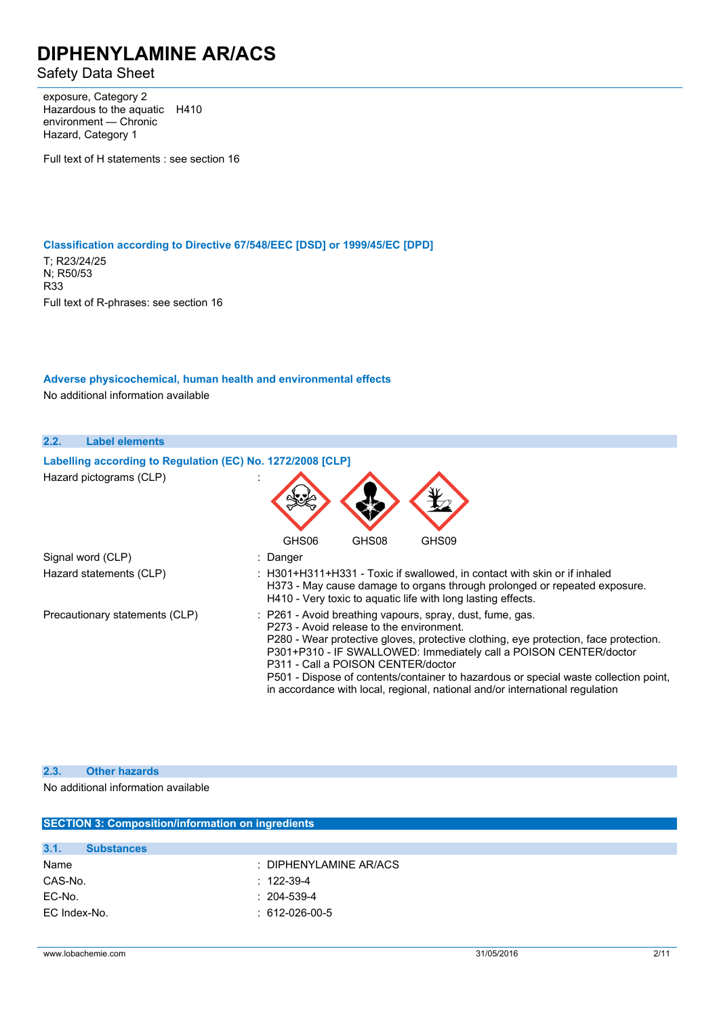Safety Data Sheet

exposure, Category 2 Hazardous to the aquatic H410 environment — Chronic Hazard, Category 1

Full text of H statements : see section 16

**Classification according to Directive 67/548/EEC [DSD] or 1999/45/EC [DPD]**

T; R23/24/25 N; R50/53 R33 Full text of R-phrases: see section 16

**Adverse physicochemical, human health and environmental effects**

No additional information available

| 2.2. | <b>Label elements</b>                                      |                                                                                                                                                                                                                                                                                                                                                                                                                                                                                  |
|------|------------------------------------------------------------|----------------------------------------------------------------------------------------------------------------------------------------------------------------------------------------------------------------------------------------------------------------------------------------------------------------------------------------------------------------------------------------------------------------------------------------------------------------------------------|
|      | Labelling according to Regulation (EC) No. 1272/2008 [CLP] |                                                                                                                                                                                                                                                                                                                                                                                                                                                                                  |
|      | Hazard pictograms (CLP)                                    |                                                                                                                                                                                                                                                                                                                                                                                                                                                                                  |
|      |                                                            | GHS09<br>GHS06<br>GHS08                                                                                                                                                                                                                                                                                                                                                                                                                                                          |
|      | Signal word (CLP)                                          | : Danger                                                                                                                                                                                                                                                                                                                                                                                                                                                                         |
|      | Hazard statements (CLP)                                    | : H301+H311+H331 - Toxic if swallowed, in contact with skin or if inhaled<br>H373 - May cause damage to organs through prolonged or repeated exposure.<br>H410 - Very toxic to aquatic life with long lasting effects.                                                                                                                                                                                                                                                           |
|      | Precautionary statements (CLP)                             | : P261 - Avoid breathing vapours, spray, dust, fume, gas.<br>P273 - Avoid release to the environment.<br>P280 - Wear protective gloves, protective clothing, eye protection, face protection.<br>P301+P310 - IF SWALLOWED: Immediately call a POISON CENTER/doctor<br>P311 - Call a POISON CENTER/doctor<br>P501 - Dispose of contents/container to hazardous or special waste collection point,<br>in accordance with local, regional, national and/or international regulation |

#### **2.3. Other hazards**

No additional information available

| <b>SECTION 3: Composition/information on ingredients</b> |                                   |  |
|----------------------------------------------------------|-----------------------------------|--|
|                                                          |                                   |  |
| 3.1.<br><b>Substances</b>                                |                                   |  |
| Name                                                     | $\therefore$ DIPHENYLAMINE AR/ACS |  |
| CAS-No.                                                  | $: 122 - 39 - 4$                  |  |
| EC-No.                                                   | $: 204 - 539 - 4$                 |  |
| EC Index-No.                                             | $: 612-026-00-5$                  |  |
|                                                          |                                   |  |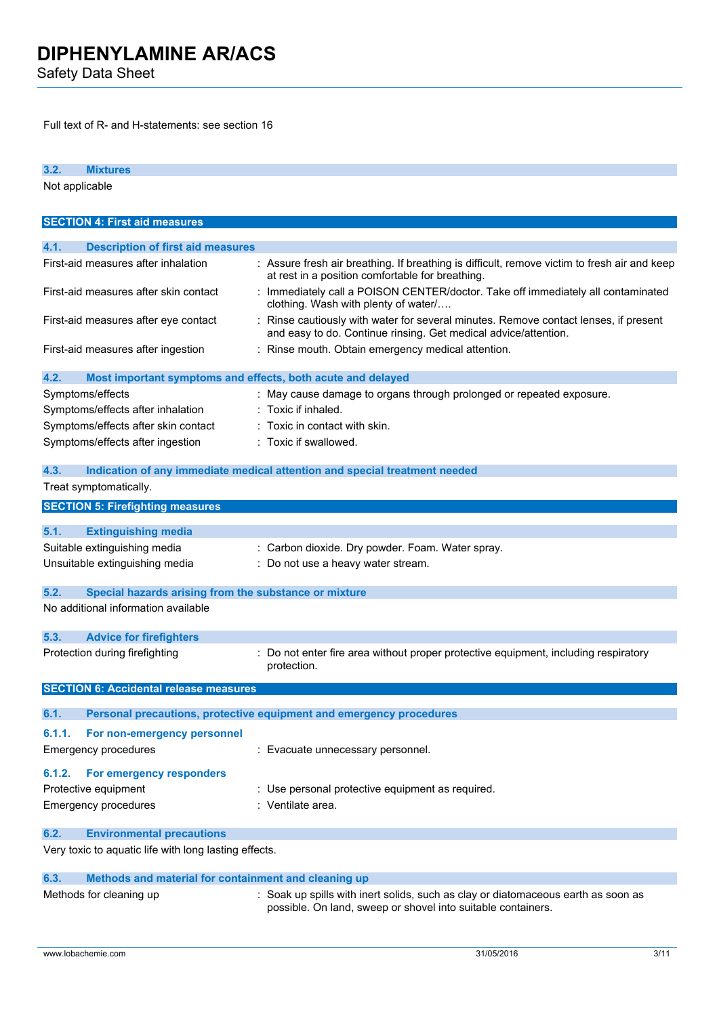Safety Data Sheet

Full text of R- and H-statements: see section 16

**3.2. Mixtures** Not applicable **SECTION 4: First aid measures 4.1. Description of first aid measures** First-aid measures after inhalation : Assure fresh air breathing. If breathing is difficult, remove victim to fresh air and keep at rest in a position comfortable for breathing. First-aid measures after skin contact : Immediately call a POISON CENTER/doctor. Take off immediately all contaminated clothing. Wash with plenty of water/…. First-aid measures after eye contact : Rinse cautiously with water for several minutes. Remove contact lenses, if present and easy to do. Continue rinsing. Get medical advice/attention. First-aid measures after ingestion : Rinse mouth. Obtain emergency medical attention. **4.2. Most important symptoms and effects, both acute and delayed** Symptoms/effects **in the symptoms/effects** in May cause damage to organs through prolonged or repeated exposure. Symptoms/effects after inhalation : Toxic if inhaled. Symptoms/effects after skin contact : Toxic in contact with skin. Symptoms/effects after ingestion : Toxic if swallowed. **4.3. Indication of any immediate medical attention and special treatment needed** Treat symptomatically. **SECTION 5: Firefighting measures 5.1. Extinguishing media** Suitable extinguishing media : Carbon dioxide. Dry powder. Foam. Water spray. Unsuitable extinguishing media : Do not use a heavy water stream. **5.2. Special hazards arising from the substance or mixture** No additional information available **5.3. Advice for firefighters** Protection during firefighting : Do not enter fire area without proper protective equipment, including respiratory protection. **SECTION 6: Accidental release measures 6.1. Personal precautions, protective equipment and emergency procedures 6.1.1. For non-emergency personnel** Emergency procedures : Evacuate unnecessary personnel. **6.1.2. For emergency responders** Protective equipment : Use personal protective equipment as required. Emergency procedures : Ventilate area. **6.2. Environmental precautions** Very toxic to aquatic life with long lasting effects. **6.3. Methods and material for containment and cleaning up** Methods for cleaning up : Soak up spills with inert solids, such as clay or diatomaceous earth as soon as

possible. On land, sweep or shovel into suitable containers.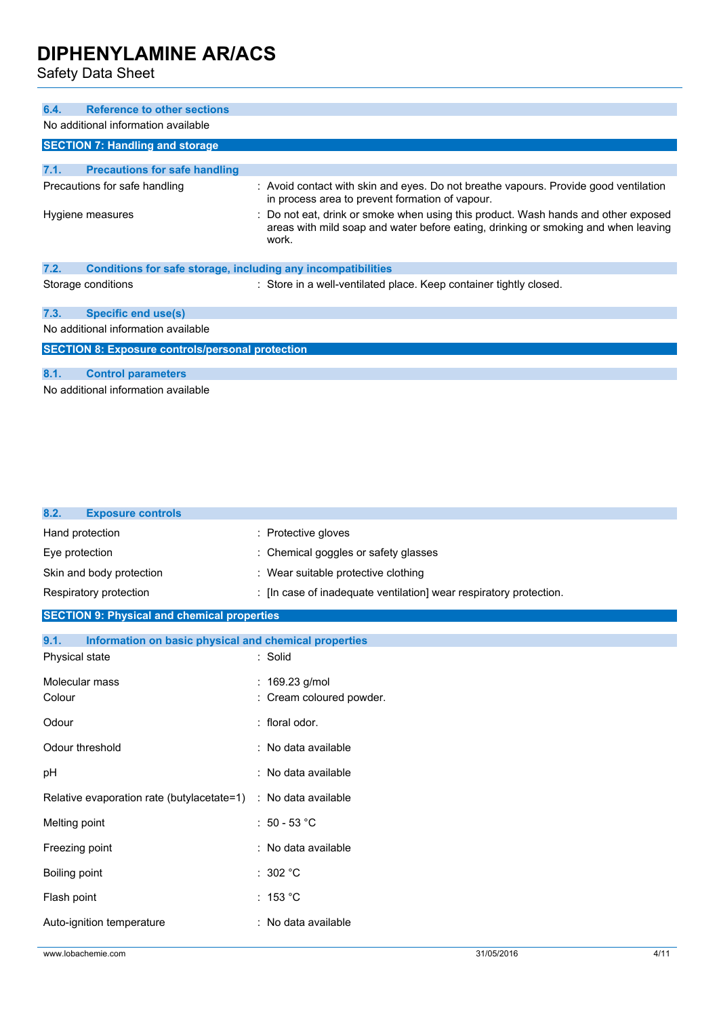Safety Data Sheet

| <b>Reference to other sections</b><br>6.4.                           |                                                                                                                                                                                   |
|----------------------------------------------------------------------|-----------------------------------------------------------------------------------------------------------------------------------------------------------------------------------|
| No additional information available                                  |                                                                                                                                                                                   |
| <b>SECTION 7: Handling and storage</b>                               |                                                                                                                                                                                   |
|                                                                      |                                                                                                                                                                                   |
| 7.1.<br><b>Precautions for safe handling</b>                         |                                                                                                                                                                                   |
| Precautions for safe handling                                        | : Avoid contact with skin and eyes. Do not breathe vapours. Provide good ventilation<br>in process area to prevent formation of vapour.                                           |
| Hygiene measures                                                     | : Do not eat, drink or smoke when using this product. Wash hands and other exposed<br>areas with mild soap and water before eating, drinking or smoking and when leaving<br>work. |
| 7.2.<br>Conditions for safe storage, including any incompatibilities |                                                                                                                                                                                   |
| Storage conditions                                                   | : Store in a well-ventilated place. Keep container tightly closed.                                                                                                                |
| <b>Specific end use(s)</b><br>7.3.                                   |                                                                                                                                                                                   |
| No additional information available                                  |                                                                                                                                                                                   |
| <b>SECTION 8: Exposure controls/personal protection</b>              |                                                                                                                                                                                   |
|                                                                      |                                                                                                                                                                                   |
| 8.1.<br><b>Control parameters</b>                                    |                                                                                                                                                                                   |
| No additional information available                                  |                                                                                                                                                                                   |
|                                                                      |                                                                                                                                                                                   |
|                                                                      |                                                                                                                                                                                   |
|                                                                      |                                                                                                                                                                                   |
| 8.2.<br><b>Exposure controls</b>                                     |                                                                                                                                                                                   |
| Hand protection                                                      | : Protective gloves                                                                                                                                                               |

| Eye protection                                                 | : Chemical goggles or safety glasses                               |
|----------------------------------------------------------------|--------------------------------------------------------------------|
| Skin and body protection                                       | : Wear suitable protective clothing                                |
| Respiratory protection                                         | : [In case of inadequate ventilation] wear respiratory protection. |
| <b>SECTION 9: Physical and chemical properties</b>             |                                                                    |
| 9.1.<br>Information on basic physical and chemical properties  |                                                                    |
| Physical state                                                 | : Solid                                                            |
| Molecular mass                                                 | : $169.23$ g/mol                                                   |
| Colour                                                         | : Cream coloured powder.                                           |
| Odour                                                          | floral odor.                                                       |
| Odour threshold                                                | : No data available                                                |
| pH                                                             | : No data available                                                |
| Relative evaporation rate (butylacetate=1) : No data available |                                                                    |
| Melting point                                                  | $: 50 - 53$ °C                                                     |
| Freezing point                                                 | : No data available                                                |
| Boiling point                                                  | : $302 °C$                                                         |
| Flash point                                                    | : 153 °C                                                           |
| Auto-ignition temperature                                      | : No data available                                                |
|                                                                |                                                                    |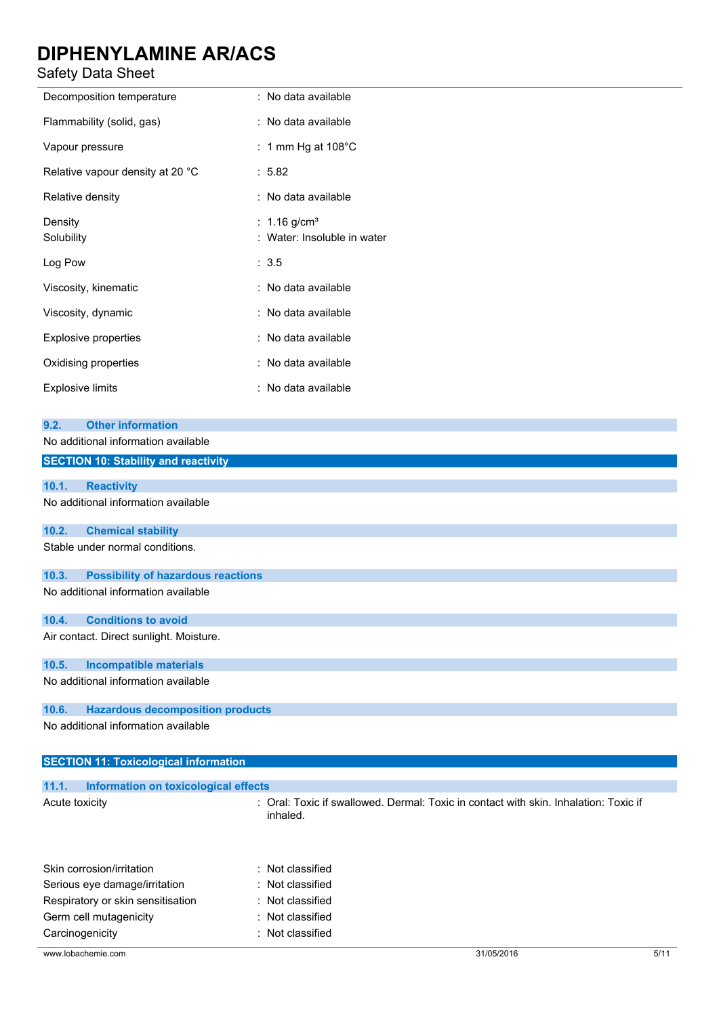### Safety Data Sheet

| <b>Safety Data Sheet</b>                                                                                               |                                                           |  |
|------------------------------------------------------------------------------------------------------------------------|-----------------------------------------------------------|--|
| Decomposition temperature                                                                                              | : No data available                                       |  |
| Flammability (solid, gas)                                                                                              | : No data available                                       |  |
| Vapour pressure                                                                                                        | : 1 mm Hg at $108^{\circ}$ C                              |  |
| Relative vapour density at 20 °C                                                                                       | : 5.82                                                    |  |
| Relative density                                                                                                       | : No data available                                       |  |
| Density<br>Solubility                                                                                                  | : $1.16$ g/cm <sup>3</sup><br>: Water: Insoluble in water |  |
| Log Pow                                                                                                                | : 3.5                                                     |  |
| Viscosity, kinematic                                                                                                   | : No data available                                       |  |
| Viscosity, dynamic                                                                                                     | : No data available                                       |  |
| <b>Explosive properties</b>                                                                                            | : No data available                                       |  |
| Oxidising properties                                                                                                   | : No data available                                       |  |
| <b>Explosive limits</b>                                                                                                | : No data available                                       |  |
| <b>Other information</b><br>9.2.<br>No additional information available<br><b>SECTION 10: Stability and reactivity</b> |                                                           |  |
|                                                                                                                        |                                                           |  |
| <b>Reactivity</b><br>10.1.<br>No additional information available                                                      |                                                           |  |
| 10.2.<br><b>Chemical stability</b>                                                                                     |                                                           |  |
| Stable under normal conditions.                                                                                        |                                                           |  |
| 10.3.<br><b>Possibility of hazardous reactions</b><br>No additional information available                              |                                                           |  |
| 10.4.<br><b>Conditions to avoid</b>                                                                                    |                                                           |  |
| Air contact. Direct sunlight. Moisture.                                                                                |                                                           |  |
| 10.5.<br><b>Incompatible materials</b>                                                                                 |                                                           |  |
| No additional information available                                                                                    |                                                           |  |
| <b>Hazardous decomposition products</b><br>10.6.                                                                       |                                                           |  |
| No additional information available                                                                                    |                                                           |  |
| <b>SECTION 11: Toxicological information</b>                                                                           |                                                           |  |

| 11.1.          | Information on toxicological effects |                                                                                                  |
|----------------|--------------------------------------|--------------------------------------------------------------------------------------------------|
| Acute toxicity |                                      | : Oral: Toxic if swallowed. Dermal: Toxic in contact with skin. Inhalation: Toxic if<br>inhaled. |
|                |                                      |                                                                                                  |

| Skin corrosion/irritation         | : Not classified |
|-----------------------------------|------------------|
| Serious eye damage/irritation     | : Not classified |
| Respiratory or skin sensitisation | : Not classified |
| Germ cell mutagenicity            | : Not classified |
| Carcinogenicity                   | : Not classified |
|                                   |                  |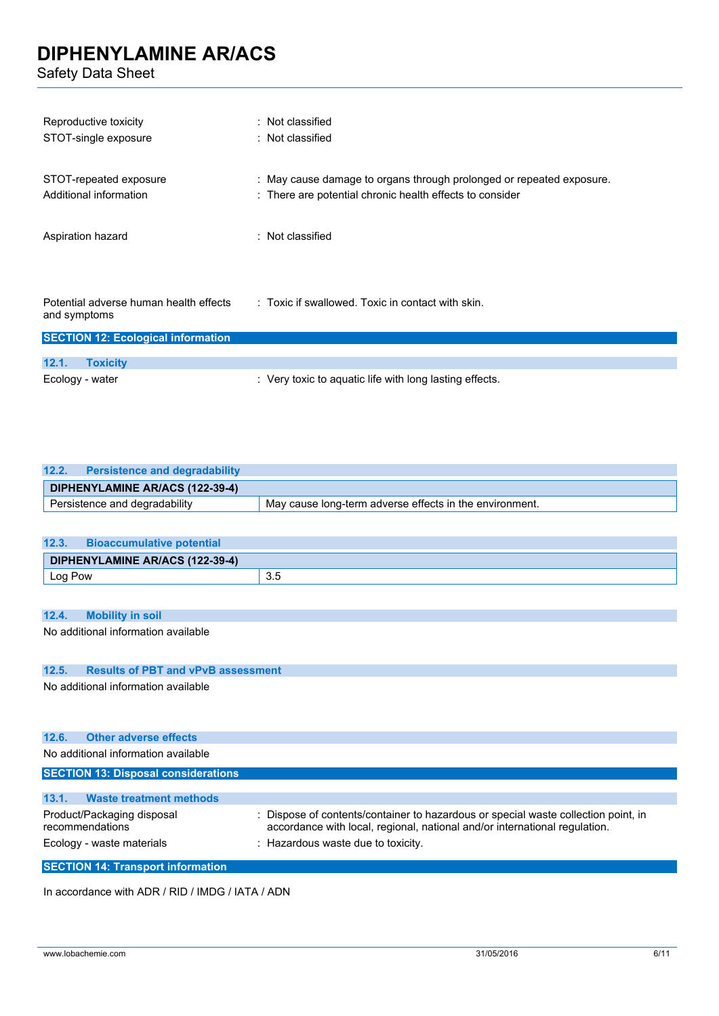Safety Data Sheet

| Reproductive toxicity                                                    | : Not classified                                                     |
|--------------------------------------------------------------------------|----------------------------------------------------------------------|
| STOT-single exposure                                                     | $:$ Not classified                                                   |
| STOT-repeated exposure                                                   | : May cause damage to organs through prolonged or repeated exposure. |
| Additional information                                                   | : There are potential chronic health effects to consider             |
| Aspiration hazard                                                        | : Not classified                                                     |
| Potential adverse human health effects<br>and symptoms<br>OPTATIAN A. F. | $\therefore$ Toxic if swallowed. Toxic in contact with skin.         |

| <b>SECTION 12: Ecological information</b> |                                                         |  |
|-------------------------------------------|---------------------------------------------------------|--|
|                                           |                                                         |  |
| 12.1.<br><b>Toxicity</b>                  |                                                         |  |
| Ecology - water                           | : Very toxic to aquatic life with long lasting effects. |  |

| 12.2.<br><b>Persistence and degradability</b> |                                                         |
|-----------------------------------------------|---------------------------------------------------------|
| DIPHENYLAMINE AR/ACS (122-39-4)               |                                                         |
| Persistence and degradability                 | May cause long-term adverse effects in the environment. |

| 12.3.   | <b>Bioaccumulative potential</b> |     |
|---------|----------------------------------|-----|
|         | DIPHENYLAMINE AR/ACS (122-39-4)  |     |
| Log Pow |                                  | 3.5 |

#### **12.4. Mobility in soil**

No additional information available

#### **12.5. Results of PBT and vPvB assessment**

No additional information available

| 12.6.<br><b>Other adverse effects</b>         |                                                                                                                                                                |
|-----------------------------------------------|----------------------------------------------------------------------------------------------------------------------------------------------------------------|
| No additional information available           |                                                                                                                                                                |
| <b>SECTION 13: Disposal considerations</b>    |                                                                                                                                                                |
|                                               |                                                                                                                                                                |
| 13.1.<br><b>Waste treatment methods</b>       |                                                                                                                                                                |
| Product/Packaging disposal<br>recommendations | Dispose of contents/container to hazardous or special waste collection point, in<br>accordance with local, regional, national and/or international regulation. |
| Ecology - waste materials                     | : Hazardous waste due to toxicity.                                                                                                                             |
| <b>SECTION 14: Transport information</b>      |                                                                                                                                                                |

In accordance with ADR / RID / IMDG / IATA / ADN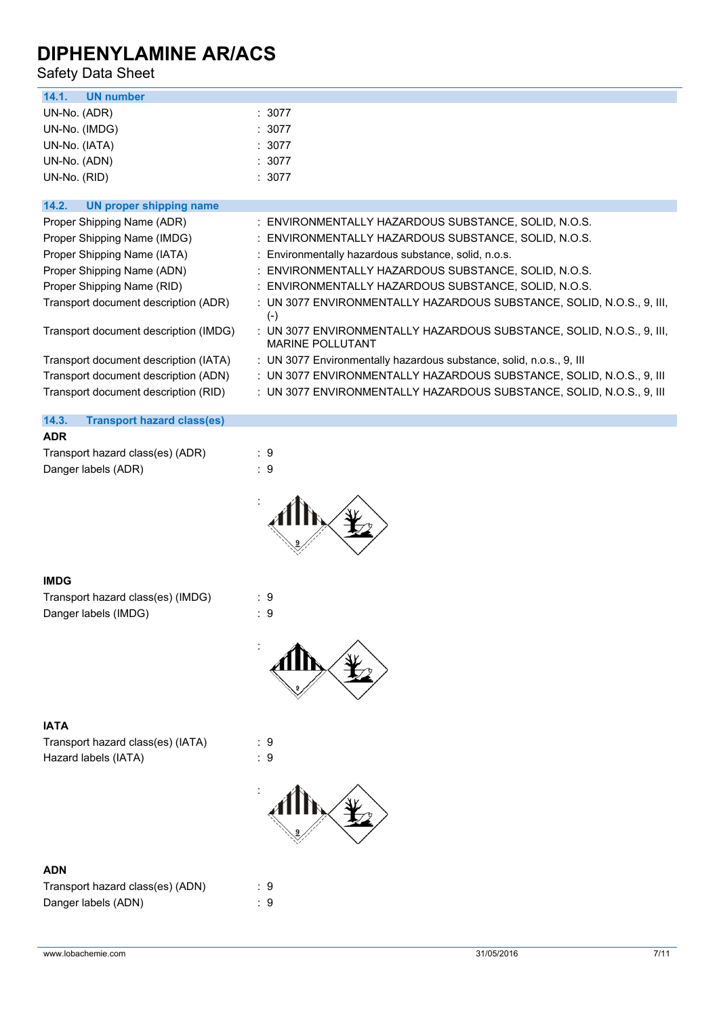## Safety Data Sheet

| 14.1.<br><b>UN number</b>               |                                                                                                  |
|-----------------------------------------|--------------------------------------------------------------------------------------------------|
| UN-No. (ADR)                            | : 3077                                                                                           |
| UN-No. (IMDG)                           | : 3077                                                                                           |
| UN-No. (IATA)                           | : 3077                                                                                           |
| UN-No. (ADN)                            | : 3077                                                                                           |
| UN-No. (RID)                            | :3077                                                                                            |
|                                         |                                                                                                  |
| 14.2.<br><b>UN proper shipping name</b> |                                                                                                  |
| Proper Shipping Name (ADR)              | : ENVIRONMENTALLY HAZARDOUS SUBSTANCE, SOLID, N.O.S.                                             |
| Proper Shipping Name (IMDG)             | : ENVIRONMENTALLY HAZARDOUS SUBSTANCE, SOLID, N.O.S.                                             |
| Proper Shipping Name (IATA)             | : Environmentally hazardous substance, solid, n.o.s.                                             |
| Proper Shipping Name (ADN)              | : ENVIRONMENTALLY HAZARDOUS SUBSTANCE, SOLID, N.O.S.                                             |
| Proper Shipping Name (RID)              | : ENVIRONMENTALLY HAZARDOUS SUBSTANCE, SOLID, N.O.S.                                             |
| Transport document description (ADR)    | : UN 3077 ENVIRONMENTALLY HAZARDOUS SUBSTANCE, SOLID, N.O.S., 9, III,<br>$(-)$                   |
| Transport document description (IMDG)   | : UN 3077 ENVIRONMENTALLY HAZARDOUS SUBSTANCE, SOLID, N.O.S., 9, III,<br><b>MARINE POLLUTANT</b> |
| Transport document description (IATA)   | : UN 3077 Environmentally hazardous substance, solid, n.o.s., 9, III                             |
| Transport document description (ADN)    | : UN 3077 ENVIRONMENTALLY HAZARDOUS SUBSTANCE, SOLID, N.O.S., 9, III                             |
| Transport document description (RID)    | : UN 3077 ENVIRONMENTALLY HAZARDOUS SUBSTANCE, SOLID, N.O.S., 9, III                             |
|                                         |                                                                                                  |

| 14.3.      | <b>Transport hazard class(es)</b> |     |
|------------|-----------------------------------|-----|
| <b>ADR</b> |                                   |     |
|            | Transport hazard class(es) (ADR)  | : 9 |
|            | Danger labels (ADR)               | . 9 |
|            |                                   |     |



#### **IMDG**

Transport hazard class(es) (IMDG) : 9 Danger labels (IMDG)  $\qquad \qquad$  : 9





#### **IATA**

Transport hazard class(es) (IATA) : 9 Hazard labels (IATA) : 9



#### **ADN**

| Transport hazard class(es) (ADN) | : 9 |  |
|----------------------------------|-----|--|
| Danger labels (ADN)              | : 9 |  |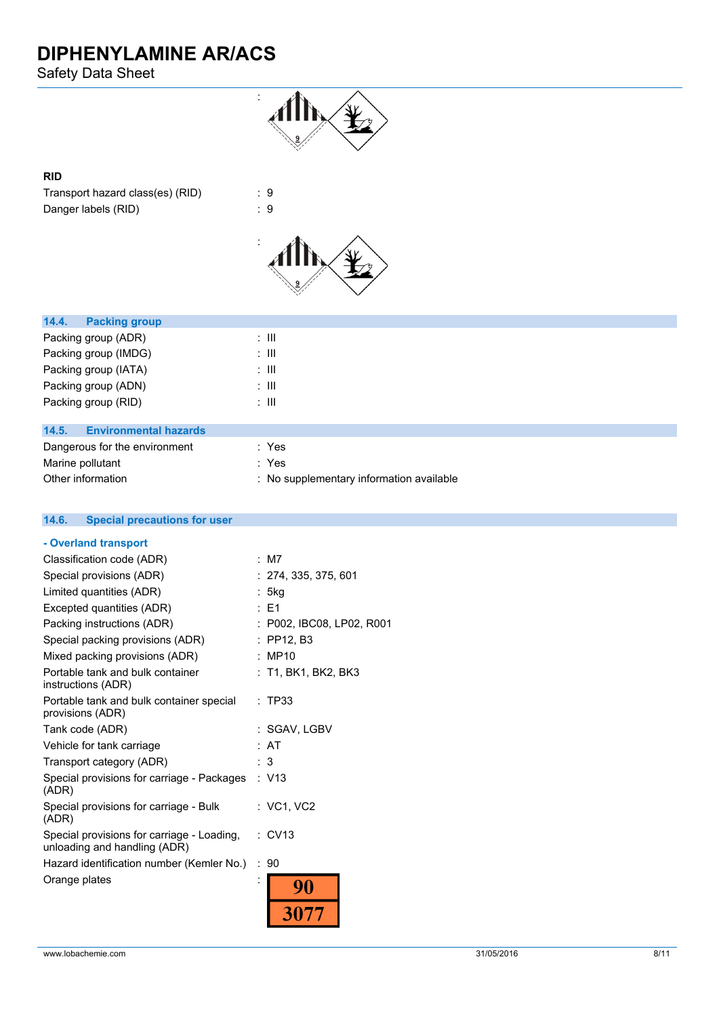Safety Data Sheet



#### **RID**

Transport hazard class(es) (RID) : 9 Danger labels (RID) : 9



| <b>Packing group</b><br>14.4.         |       |
|---------------------------------------|-------|
| Packing group (ADR)                   | : III |
| Packing group (IMDG)                  | : III |
| Packing group (IATA)                  | ÷ III |
| Packing group (ADN)                   | ÷ III |
| Packing group (RID)                   | ÷ III |
|                                       |       |
| 14.5.<br><b>Environmental hazards</b> |       |
| Dangerous for the environment         | : Yes |
| Marine pollutant                      | : Yes |

| Other information | : No supplementary information available |
|-------------------|------------------------------------------|
|-------------------|------------------------------------------|

| <b>Special precautions for user</b><br>14.6.                               |                           |
|----------------------------------------------------------------------------|---------------------------|
| - Overland transport                                                       |                           |
| Classification code (ADR)                                                  | : M7                      |
| Special provisions (ADR)                                                   | : 274, 335, 375, 601      |
| Limited quantities (ADR)                                                   | : 5kg                     |
| Excepted quantities (ADR)                                                  | $E = 1$                   |
| Packing instructions (ADR)                                                 | : P002, IBC08, LP02, R001 |
| Special packing provisions (ADR)                                           | $:$ PP12, B3              |
| Mixed packing provisions (ADR)                                             | : MP10                    |
| Portable tank and bulk container<br>instructions (ADR)                     | : T1, BK1, BK2, BK3       |
| Portable tank and bulk container special<br>provisions (ADR)               | : TP33                    |
| Tank code (ADR)                                                            | : SGAV, LGBV              |
| Vehicle for tank carriage                                                  | : AT                      |
| Transport category (ADR)                                                   | : 3                       |
| Special provisions for carriage - Packages<br>(ADR)                        | : V13                     |
| Special provisions for carriage - Bulk<br>(ADR)                            | : VC1, VC2                |
| Special provisions for carriage - Loading,<br>unloading and handling (ADR) | $\therefore$ CV13         |
| Hazard identification number (Kemler No.)                                  | : 90                      |
| Orange plates                                                              | ٠<br>90                   |
|                                                                            |                           |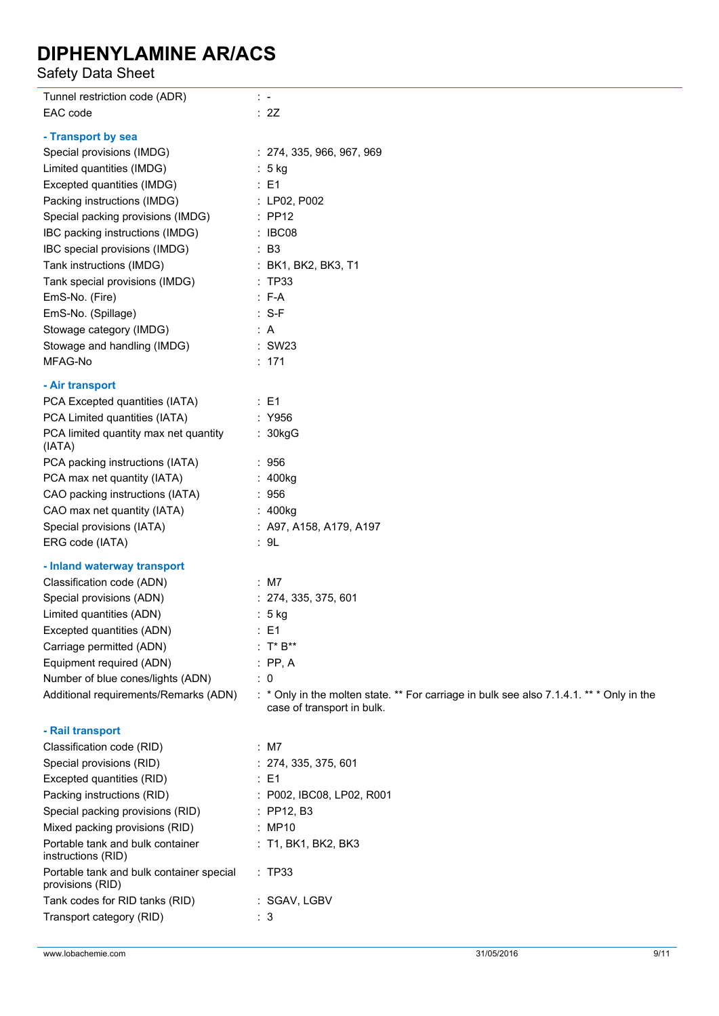Safety Data Sheet

| Tunnel restriction code (ADR)                                   | $\mathcal{L}$                                                                                                          |
|-----------------------------------------------------------------|------------------------------------------------------------------------------------------------------------------------|
| EAC code                                                        | : 2Z                                                                                                                   |
| - Transport by sea                                              |                                                                                                                        |
| Special provisions (IMDG)                                       | : 274, 335, 966, 967, 969                                                                                              |
| Limited quantities (IMDG)                                       | : 5 kg                                                                                                                 |
| Excepted quantities (IMDG)                                      | $\therefore$ E1                                                                                                        |
| Packing instructions (IMDG)                                     | : LP02, P002                                                                                                           |
| Special packing provisions (IMDG)                               | $\therefore$ PP12                                                                                                      |
| IBC packing instructions (IMDG)                                 | : IBC08                                                                                                                |
| IBC special provisions (IMDG)                                   | $\therefore$ B3                                                                                                        |
| Tank instructions (IMDG)                                        | : BK1, BK2, BK3, T1                                                                                                    |
| Tank special provisions (IMDG)                                  | : TP33                                                                                                                 |
| EmS-No. (Fire)                                                  | $: F-A$                                                                                                                |
| EmS-No. (Spillage)                                              | $: S-F$                                                                                                                |
| Stowage category (IMDG)                                         | : A                                                                                                                    |
| Stowage and handling (IMDG)                                     | : SW23                                                                                                                 |
| MFAG-No                                                         | : 171                                                                                                                  |
|                                                                 |                                                                                                                        |
| - Air transport                                                 |                                                                                                                        |
| PCA Excepted quantities (IATA)<br>PCA Limited quantities (IATA) | $\therefore$ E1<br>: Y956                                                                                              |
| PCA limited quantity max net quantity                           |                                                                                                                        |
| (IATA)                                                          | : 30kgG                                                                                                                |
| PCA packing instructions (IATA)                                 | : 956                                                                                                                  |
| PCA max net quantity (IATA)                                     | : 400kg                                                                                                                |
| CAO packing instructions (IATA)                                 | : 956                                                                                                                  |
| CAO max net quantity (IATA)                                     | : 400kg                                                                                                                |
| Special provisions (IATA)                                       | : A97, A158, A179, A197                                                                                                |
| ERG code (IATA)                                                 | : 9L                                                                                                                   |
| - Inland waterway transport                                     |                                                                                                                        |
| Classification code (ADN)                                       | : M7                                                                                                                   |
| Special provisions (ADN)                                        | : 274, 335, 375, 601                                                                                                   |
| Limited quantities (ADN)                                        | $: 5$ kg                                                                                                               |
| Excepted quantities (ADN)                                       | $\therefore$ E1                                                                                                        |
| Carriage permitted (ADN)                                        | $: T^*B^{**}$                                                                                                          |
| Equipment required (ADN)                                        | $:$ PP, A                                                                                                              |
| Number of blue cones/lights (ADN)                               | $\therefore$ 0                                                                                                         |
| Additional requirements/Remarks (ADN)                           | : * Only in the molten state. ** For carriage in bulk see also 7.1.4.1. ** * Only in the<br>case of transport in bulk. |
| - Rail transport                                                |                                                                                                                        |
| Classification code (RID)                                       | : M7                                                                                                                   |
| Special provisions (RID)                                        | : 274, 335, 375, 601                                                                                                   |
| Excepted quantities (RID)                                       | $\therefore$ E1                                                                                                        |
| Packing instructions (RID)                                      | : P002, IBC08, LP02, R001                                                                                              |
| Special packing provisions (RID)                                | : PP12, B3                                                                                                             |
| Mixed packing provisions (RID)                                  | : MP10                                                                                                                 |
| Portable tank and bulk container<br>instructions (RID)          | : T1, BK1, BK2, BK3                                                                                                    |
| Portable tank and bulk container special<br>provisions (RID)    | : TP33                                                                                                                 |
| Tank codes for RID tanks (RID)                                  | : SGAV, LGBV                                                                                                           |
| Transport category (RID)                                        | : 3                                                                                                                    |
|                                                                 |                                                                                                                        |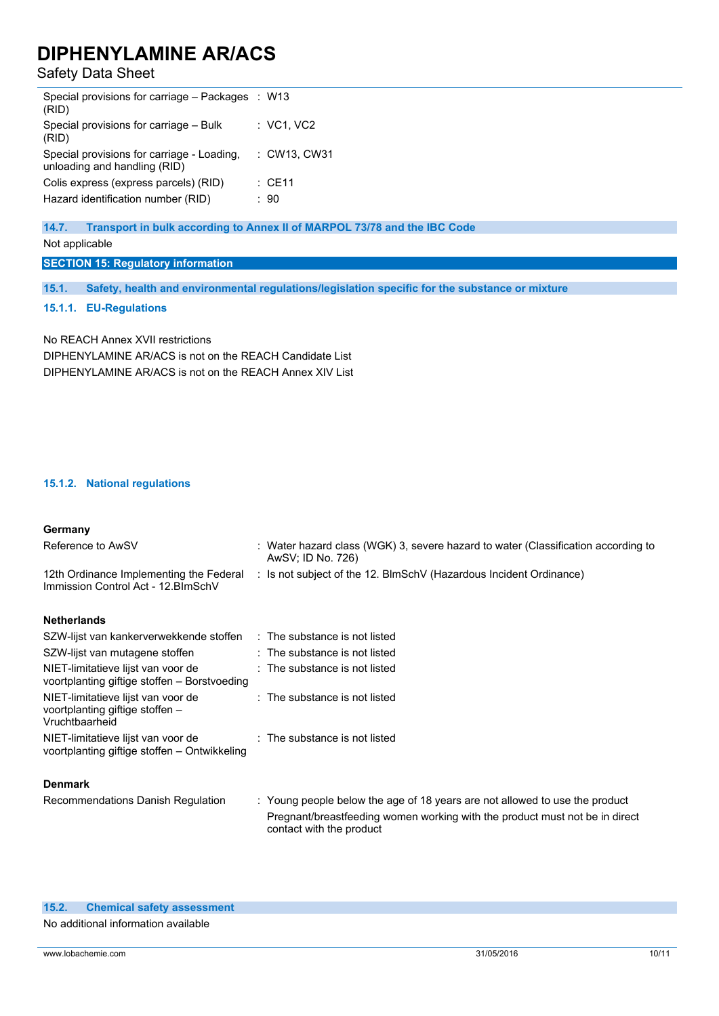## Safety Data Sheet

| Special provisions for carriage - Packages : W13<br>(RID)                  |                   |
|----------------------------------------------------------------------------|-------------------|
| Special provisions for carriage - Bulk<br>(RID)                            | : VC1, VC2        |
| Special provisions for carriage - Loading,<br>unloading and handling (RID) | : CW13, CW31      |
| Colis express (express parcels) (RID)                                      | $\therefore$ CE11 |
| Hazard identification number (RID)                                         | : 90              |
|                                                                            |                   |

#### **14.7. Transport in bulk according to Annex II of MARPOL 73/78 and the IBC Code**

Not applicable

**SECTION 15: Regulatory information**

**15.1. Safety, health and environmental regulations/legislation specific for the substance or mixture**

#### **15.1.1. EU-Regulations**

No REACH Annex XVII restrictions DIPHENYLAMINE AR/ACS is not on the REACH Candidate List DIPHENYLAMINE AR/ACS is not on the REACH Annex XIV List

#### **15.1.2. National regulations**

#### **Germany**

| Reference to AwSV                                                                       | : Water hazard class (WGK) 3, severe hazard to water (Classification according to<br>AwSV; ID No. 726)                                                     |
|-----------------------------------------------------------------------------------------|------------------------------------------------------------------------------------------------------------------------------------------------------------|
| 12th Ordinance Implementing the Federal<br>Immission Control Act - 12. BlmSchV          | : Is not subject of the 12. BlmSchV (Hazardous Incident Ordinance)                                                                                         |
| <b>Netherlands</b>                                                                      |                                                                                                                                                            |
| SZW-lijst van kankerverwekkende stoffen                                                 | $\therefore$ The substance is not listed                                                                                                                   |
| SZW-lijst van mutagene stoffen                                                          | : The substance is not listed                                                                                                                              |
| NIET-limitatieve lijst van voor de<br>voortplanting giftige stoffen – Borstvoeding      | $\therefore$ The substance is not listed                                                                                                                   |
| NIET-limitatieve lijst van voor de<br>voortplanting giftige stoffen -<br>Vruchtbaarheid | : The substance is not listed                                                                                                                              |
| NIET-limitatieve lijst van voor de<br>voortplanting giftige stoffen – Ontwikkeling      | : The substance is not listed                                                                                                                              |
| <b>Denmark</b>                                                                          |                                                                                                                                                            |
| Recommendations Danish Regulation                                                       | : Young people below the age of 18 years are not allowed to use the product<br>Pregnant/breastfeeding women working with the product must not be in direct |

contact with the product